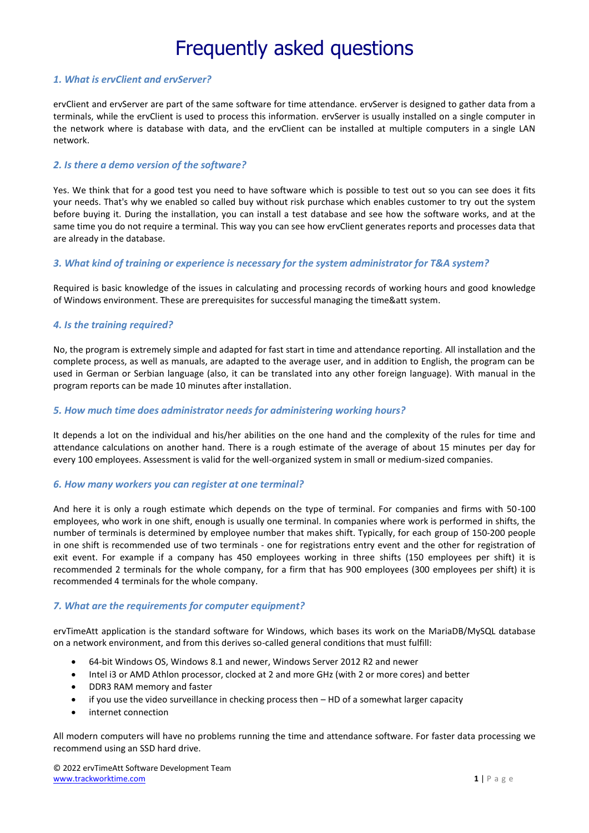## *1. What is ervClient and ervServer?*

ervClient and ervServer are part of the same software for time attendance. ervServer is designed to gather data from a terminals, while the ervClient is used to process this information. ervServer is usually installed on a single computer in the network where is database with data, and the ervClient can be installed at multiple computers in a single LAN network.

## *2. Is there a demo version of the software?*

Yes. We think that for a good test you need to have software which is possible to test out so you can see does it fits your needs. That's why we enabled so called buy without risk purchase which enables customer to try out the system before buying it. During the installation, you can install a test database and see how the software works, and at the same time you do not require a terminal. This way you can see how ervClient generates reports and processes data that are already in the database.

## *3. What kind of training or experience is necessary for the system administrator for T&A system?*

Required is basic knowledge of the issues in calculating and processing records of working hours and good knowledge of Windows environment. These are prerequisites for successful managing the time&att system.

## *4. Is the training required?*

No, the program is extremely simple and adapted for fast start in time and attendance reporting. All installation and the complete process, as well as manuals, are adapted to the average user, and in addition to English, the program can be used in German or Serbian language (also, it can be translated into any other foreign language). With manual in the program reports can be made 10 minutes after installation.

## *5. How much time does administrator needs for administering working hours?*

It depends a lot on the individual and his/her abilities on the one hand and the complexity of the rules for time and attendance calculations on another hand. There is a rough estimate of the average of about 15 minutes per day for every 100 employees. Assessment is valid for the well-organized system in small or medium-sized companies.

#### *6. How many workers you can register at one terminal?*

And here it is only a rough estimate which depends on the type of terminal. For companies and firms with 50-100 employees, who work in one shift, enough is usually one terminal. In companies where work is performed in shifts, the number of terminals is determined by employee number that makes shift. Typically, for each group of 150-200 people in one shift is recommended use of two terminals - one for registrations entry event and the other for registration of exit event. For example if a company has 450 employees working in three shifts (150 employees per shift) it is recommended 2 terminals for the whole company, for a firm that has 900 employees (300 employees per shift) it is recommended 4 terminals for the whole company.

#### *7. What are the requirements for computer equipment?*

ervTimeAtt application is the standard software for Windows, which bases its work on the MariaDB/MySQL database on a network environment, and from this derives so-called general conditions that must fulfill:

- 64-bit Windows OS, Windows 8.1 and newer, Windows Server 2012 R2 and newer
- Intel i3 or AMD Athlon processor, clocked at 2 and more GHz (with 2 or more cores) and better
- DDR3 RAM memory and faster
- if you use the video surveillance in checking process then HD of a somewhat larger capacity
- internet connection

All modern computers will have no problems running the time and attendance software. For faster data processing we recommend using an SSD hard drive.

© 2022 ervTimeAtt Software Development Team [www.trackworktime.com](https://www.trackworktime.com/index.php) **1** | P a g e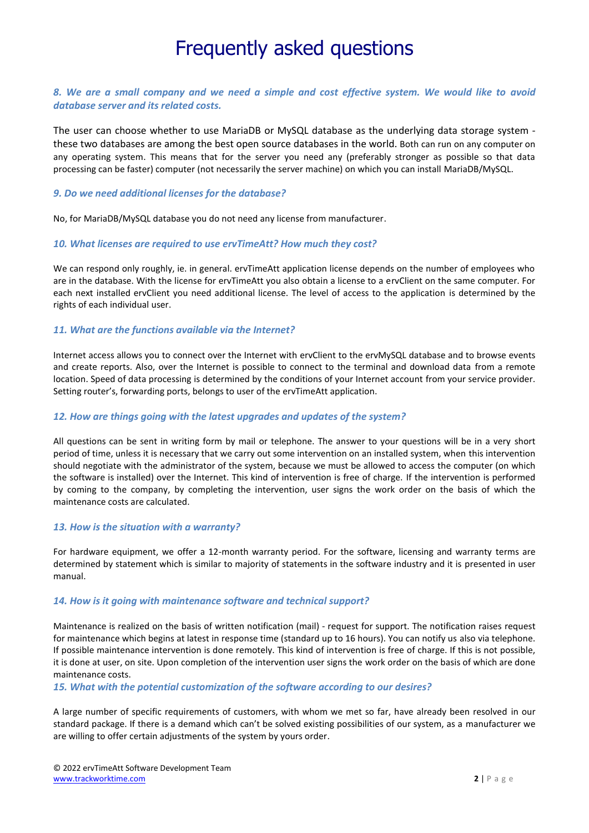## *8. We are a small company and we need a simple and cost effective system. We would like to avoid database server and its related costs.*

The user can choose whether to use MariaDB or MySQL database as the underlying data storage system these two databases are among the best open source databases in the world. Both can run on any computer on any operating system. This means that for the server you need any (preferably stronger as possible so that data processing can be faster) computer (not necessarily the server machine) on which you can install MariaDB/MySQL.

#### *9. Do we need additional licenses for the database?*

No, for MariaDB/MySQL database you do not need any license from manufacturer.

#### *10. What licenses are required to use ervTimeAtt? How much they cost?*

We can respond only roughly, ie. in general. ervTimeAtt application license depends on the number of employees who are in the database. With the license for ervTimeAtt you also obtain a license to a ervClient on the same computer. For each next installed ervClient you need additional license. The level of access to the application is determined by the rights of each individual user.

#### *11. What are the functions available via the Internet?*

Internet access allows you to connect over the Internet with ervClient to the ervMySQL database and to browse events and create reports. Also, over the Internet is possible to connect to the terminal and download data from a remote location. Speed of data processing is determined by the conditions of your Internet account from your service provider. Setting router's, forwarding ports, belongs to user of the ervTimeAtt application.

#### *12. How are things going with the latest upgrades and updates of the system?*

All questions can be sent in writing form by mail or telephone. The answer to your questions will be in a very short period of time, unless it is necessary that we carry out some intervention on an installed system, when this intervention should negotiate with the administrator of the system, because we must be allowed to access the computer (on which the software is installed) over the Internet. This kind of intervention is free of charge. If the intervention is performed by coming to the company, by completing the intervention, user signs the work order on the basis of which the maintenance costs are calculated.

#### *13. How is the situation with a warranty?*

For hardware equipment, we offer a 12-month warranty period. For the software, licensing and warranty terms are determined by statement which is similar to majority of statements in the software industry and it is presented in user manual.

#### *14. How is it going with maintenance software and technical support?*

Maintenance is realized on the basis of written notification (mail) - request for support. The notification raises request for maintenance which begins at latest in response time (standard up to 16 hours). You can notify us also via telephone. If possible maintenance intervention is done remotely. This kind of intervention is free of charge. If this is not possible, it is done at user, on site. Upon completion of the intervention user signs the work order on the basis of which are done maintenance costs.

#### *15. What with the potential customization of the software according to our desires?*

A large number of specific requirements of customers, with whom we met so far, have already been resolved in our standard package. If there is a demand which can't be solved existing possibilities of our system, as a manufacturer we are willing to offer certain adjustments of the system by yours order.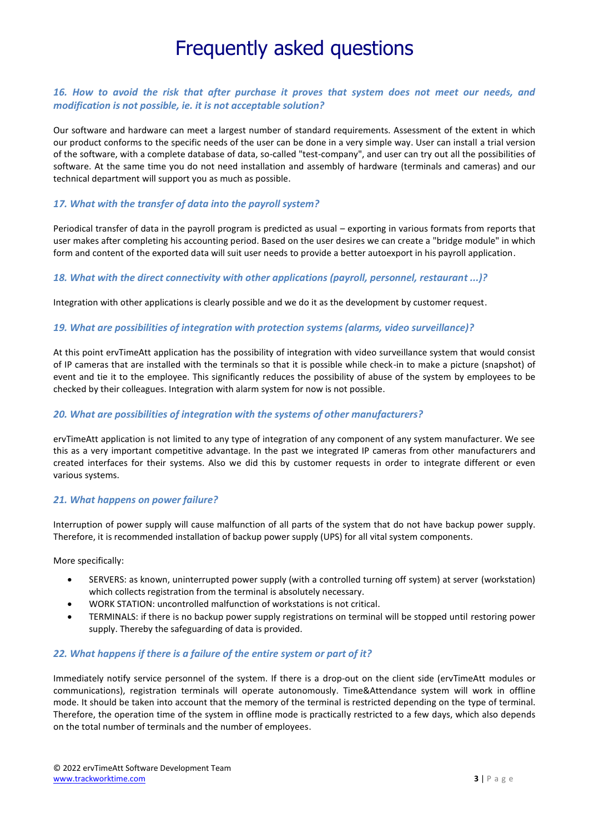# *16. How to avoid the risk that after purchase it proves that system does not meet our needs, and modification is not possible, ie. it is not acceptable solution?*

Our software and hardware can meet a largest number of standard requirements. Assessment of the extent in which our product conforms to the specific needs of the user can be done in a very simple way. User can install a trial version of the software, with a complete database of data, so-called "test-company", and user can try out all the possibilities of software. At the same time you do not need installation and assembly of hardware (terminals and cameras) and our technical department will support you as much as possible.

# *17. What with the transfer of data into the payroll system?*

Periodical transfer of data in the payroll program is predicted as usual – exporting in various formats from reports that user makes after completing his accounting period. Based on the user desires we can create a "bridge module" in which form and content of the exported data will suit user needs to provide a better autoexport in his payroll application.

#### *18. What with the direct connectivity with other applications (payroll, personnel, restaurant ...)?*

Integration with other applications is clearly possible and we do it as the development by customer request.

#### *19. What are possibilities of integration with protection systems (alarms, video surveillance)?*

At this point ervTimeAtt application has the possibility of integration with video surveillance system that would consist of IP cameras that are installed with the terminals so that it is possible while check-in to make a picture (snapshot) of event and tie it to the employee. This significantly reduces the possibility of abuse of the system by employees to be checked by their colleagues. Integration with alarm system for now is not possible.

## *20. What are possibilities of integration with the systems of other manufacturers?*

ervTimeAtt application is not limited to any type of integration of any component of any system manufacturer. We see this as a very important competitive advantage. In the past we integrated IP cameras from other manufacturers and created interfaces for their systems. Also we did this by customer requests in order to integrate different or even various systems.

#### *21. What happens on power failure?*

Interruption of power supply will cause malfunction of all parts of the system that do not have backup power supply. Therefore, it is recommended installation of backup power supply (UPS) for all vital system components.

More specifically:

- SERVERS: as known, uninterrupted power supply (with a controlled turning off system) at server (workstation) which collects registration from the terminal is absolutely necessary.
- WORK STATION: uncontrolled malfunction of workstations is not critical.
- TERMINALS: if there is no backup power supply registrations on terminal will be stopped until restoring power supply. Thereby the safeguarding of data is provided.

#### *22. What happens if there is a failure of the entire system or part of it?*

Immediately notify service personnel of the system. If there is a drop-out on the client side (ervTimeAtt modules or communications), registration terminals will operate autonomously. Time&Attendance system will work in offline mode. It should be taken into account that the memory of the terminal is restricted depending on the type of terminal. Therefore, the operation time of the system in offline mode is practically restricted to a few days, which also depends on the total number of terminals and the number of employees.